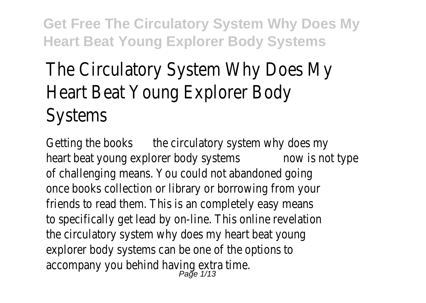## The Circulatory System Why Does M Heart Beat Young Explorer Body Systems

Getting the books circulatory system why does my heart beat young explorer body systems not type of challenging means. You could not abandoned going once books collection or library or borrowing from your friends to read them. This is an completely easy means to specifically get lead by on-line. This online revelation the circulatory system why does my heart beat young explorer body systems can be one of the options to accompany you behind having extra time.<br>Page 1/13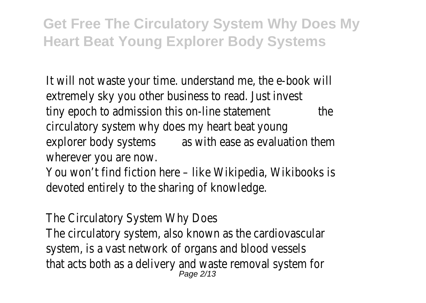It will not waste your time, understand me, the e-book extremely sky you other business to read. Just invest tiny epoch to admission this on-line statement circulatory system why does my heart beat young explorer body systems with ease as evaluation them wherever you are now.

You won't find fiction here – like Wikipedia, Wikibooks devoted entirely to the sharing of knowledge.

The Circulatory System Why Does

The circulatory system, also known as the cardiovascular system, is a vast network of organs and blood vessels that acts both as a delivery and waste removal syster<br> $P_{\text{age 2/13}}$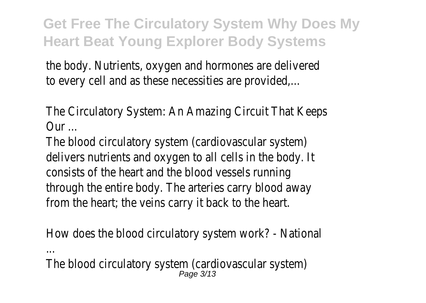the body. Nutrients, oxygen and hormones are delivered to every cell and as these necessities are provided,...

The Circulatory System: An Amazing Circuit That Keeps Our ...

The blood circulatory system (cardiovascular system) delivers nutrients and oxygen to all cells in the body. It consists of the heart and the blood vessels running through the entire body. The arteries carry blood away from the heart; the veins carry it back to the heart.

How does the blood circulatory system work? - Natior ...

The blood circulatory system (cardiovascular system)<br>Page 3/13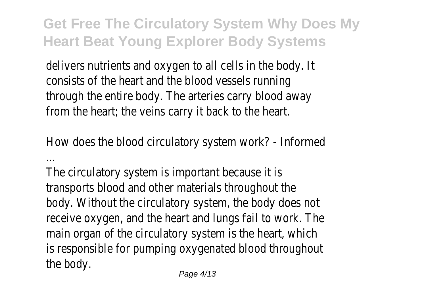delivers nutrients and oxygen to all cells in the body. It consists of the heart and the blood vessels running through the entire body. The arteries carry blood away from the heart; the veins carry it back to the heart.

How does the blood circulatory system work? - Inform ...

The circulatory system is important because it is transports blood and other materials throughout the body. Without the circulatory system, the body does not receive oxygen, and the heart and lungs fail to work. The main organ of the circulatory system is the heart, whit is responsible for pumping oxygenated blood throughout the body.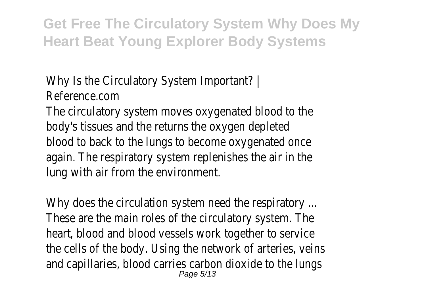Why Is the Circulatory System Important? | Reference.com

The circulatory system moves oxygenated blood to the body's tissues and the returns the oxygen depleted blood to back to the lungs to become oxygenated once again. The respiratory system replenishes the air in the lung with air from the environment.

Why does the circulation system need the respiratory These are the main roles of the circulatory system. The heart, blood and blood vessels work together to service the cells of the body. Using the network of arteries, vert and capillaries, blood carries carbon dioxide to the lung Page 5/13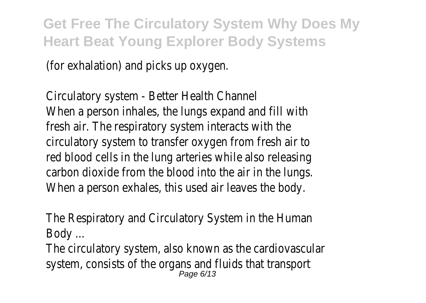(for exhalation) and picks up oxygen.

Circulatory system - Better Health Channel When a person inhales, the lungs expand and fill with fresh air. The respiratory system interacts with the circulatory system to transfer oxygen from fresh air to red blood cells in the lung arteries while also releasing carbon dioxide from the blood into the air in the lungs. When a person exhales, this used air leaves the body.

The Respiratory and Circulatory System in the Human Body ...

The circulatory system, also known as the cardiovascular system, consists of the organs and fluids that transportion, consists of the organs and fluids that transporti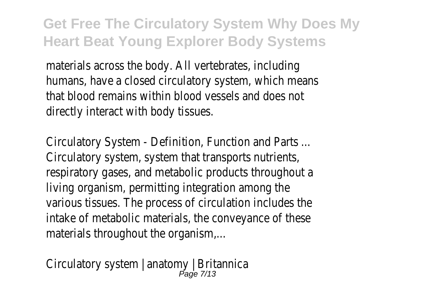materials across the body. All vertebrates, including humans, have a closed circulatory system, which mean that blood remains within blood vessels and does not directly interact with body tissues.

Circulatory System - Definition, Function and Parts ... Circulatory system, system that transports nutrients, respiratory gases, and metabolic products throughout living organism, permitting integration among the various tissues. The process of circulation includes the intake of metabolic materials, the conveyance of these materials throughout the organism,...

Circulatory system | anatomy | Britannica<br>Page 7/13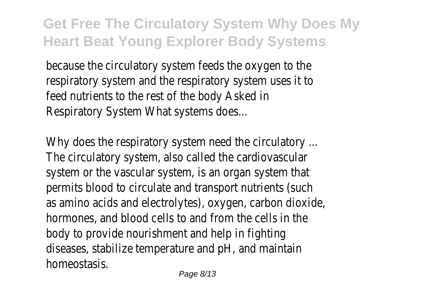because the circulatory system feeds the oxygen to the respiratory system and the respiratory system uses it feed nutrients to the rest of the body Asked in Respiratory System What systems does...

Why does the respiratory system need the circulatory The circulatory system, also called the cardiovascular system or the vascular system, is an organ system that permits blood to circulate and transport nutrients (sue as amino acids and electrolytes), oxygen, carbon dioxid hormones, and blood cells to and from the cells in the body to provide nourishment and help in fighting diseases, stabilize temperature and pH, and maintain homeostasis.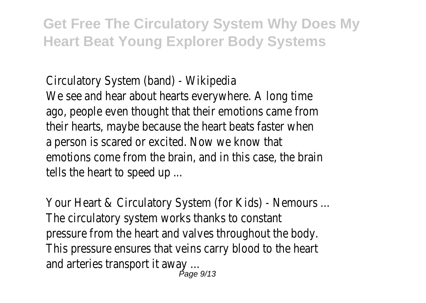Circulatory System (band) - Wikipedia

We see and hear about hearts everywhere. A long time ago, people even thought that their emotions came from their hearts, maybe because the heart beats faster when a person is scared or excited. Now we know that emotions come from the brain, and in this case, the brain tells the heart to speed up ...

Your Heart & Circulatory System (for Kids) - Nemours The circulatory system works thanks to constant pressure from the heart and valves throughout the bo This pressure ensures that veins carry blood to the heart and arteries transport it away ...<br> $P_{\text{Page 9/13}}$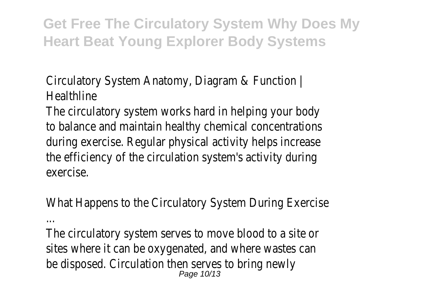Circulatory System Anatomy, Diagram & Function | **Healthline** 

The circulatory system works hard in helping your bod to balance and maintain healthy chemical concentrations during exercise. Regular physical activity helps increase the efficiency of the circulation system's activity during exercise.

What Happens to the Circulatory System During Exerc ...

The circulatory system serves to move blood to a site sites where it can be oxygenated, and where wastes be disposed. Circulation then serves to bring newly Page 10/13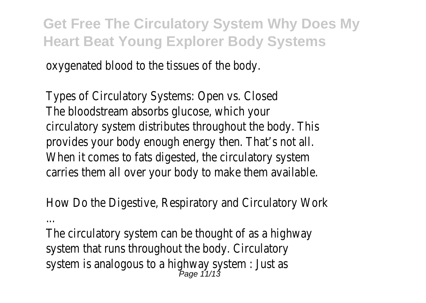oxygenated blood to the tissues of the body.

Types of Circulatory Systems: Open vs. Closed The bloodstream absorbs glucose, which your circulatory system distributes throughout the body. The provides your body enough energy then. That's not all. When it comes to fats digested, the circulatory system carries them all over your body to make them available.

How Do the Digestive, Respiratory and Circulatory Wo ...

The circulatory system can be thought of as a highwa system that runs throughout the body. Circulatory system is analogous to a highway system : Just as